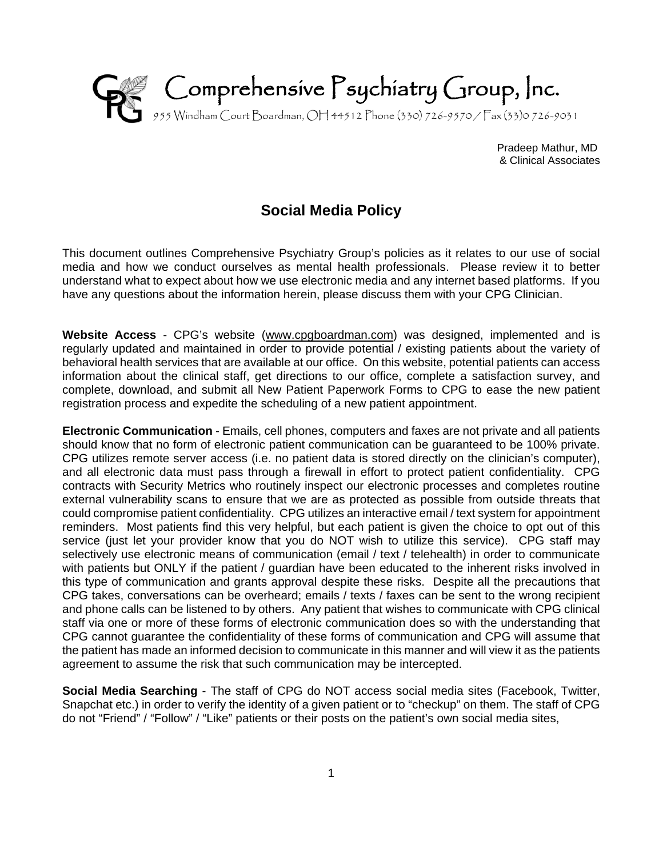

 Pradeep Mathur, MD & Clinical Associates

## **Social Media Policy**

This document outlines Comprehensive Psychiatry Group's policies as it relates to our use of social media and how we conduct ourselves as mental health professionals. Please review it to better understand what to expect about how we use electronic media and any internet based platforms. If you have any questions about the information herein, please discuss them with your CPG Clinician.

**Website Access** - CPG's website [\(www.cpgboardman.com\)](http://www.cpgboardman.com/) was designed, implemented and is regularly updated and maintained in order to provide potential / existing patients about the variety of behavioral health services that are available at our office. On this website, potential patients can access information about the clinical staff, get directions to our office, complete a satisfaction survey, and complete, download, and submit all New Patient Paperwork Forms to CPG to ease the new patient registration process and expedite the scheduling of a new patient appointment.

**Electronic Communication** - Emails, cell phones, computers and faxes are not private and all patients should know that no form of electronic patient communication can be guaranteed to be 100% private. CPG utilizes remote server access (i.e. no patient data is stored directly on the clinician's computer), and all electronic data must pass through a firewall in effort to protect patient confidentiality. CPG contracts with Security Metrics who routinely inspect our electronic processes and completes routine external vulnerability scans to ensure that we are as protected as possible from outside threats that could compromise patient confidentiality. CPG utilizes an interactive email / text system for appointment reminders. Most patients find this very helpful, but each patient is given the choice to opt out of this service (just let your provider know that you do NOT wish to utilize this service). CPG staff may selectively use electronic means of communication (email / text / telehealth) in order to communicate with patients but ONLY if the patient / guardian have been educated to the inherent risks involved in this type of communication and grants approval despite these risks. Despite all the precautions that CPG takes, conversations can be overheard; emails / texts / faxes can be sent to the wrong recipient and phone calls can be listened to by others. Any patient that wishes to communicate with CPG clinical staff via one or more of these forms of electronic communication does so with the understanding that CPG cannot guarantee the confidentiality of these forms of communication and CPG will assume that the patient has made an informed decision to communicate in this manner and will view it as the patients agreement to assume the risk that such communication may be intercepted.

**Social Media Searching** - The staff of CPG do NOT access social media sites (Facebook, Twitter, Snapchat etc.) in order to verify the identity of a given patient or to "checkup" on them. The staff of CPG do not "Friend" / "Follow" / "Like" patients or their posts on the patient's own social media sites,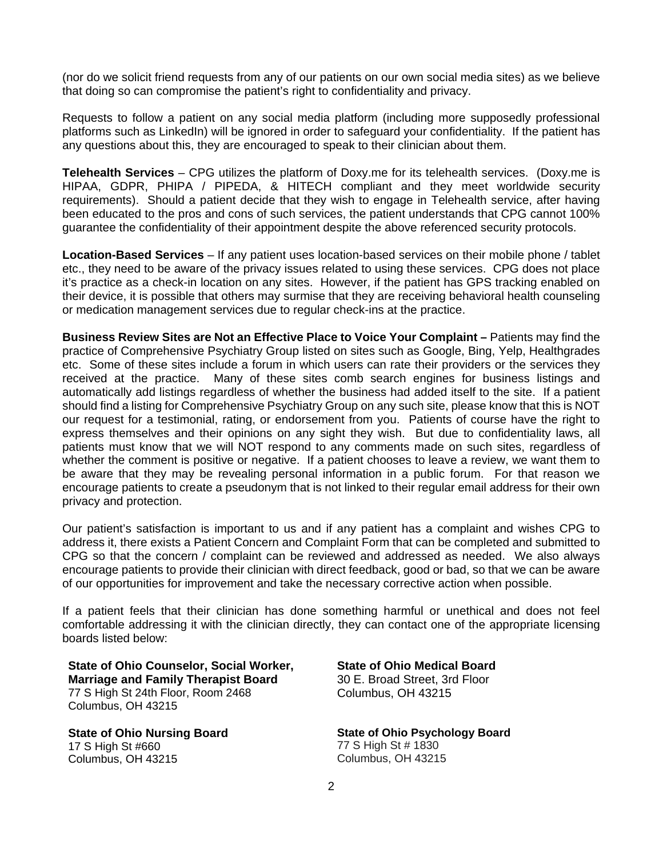(nor do we solicit friend requests from any of our patients on our own social media sites) as we believe that doing so can compromise the patient's right to confidentiality and privacy.

Requests to follow a patient on any social media platform (including more supposedly professional platforms such as LinkedIn) will be ignored in order to safeguard your confidentiality. If the patient has any questions about this, they are encouraged to speak to their clinician about them.

**Telehealth Services** – CPG utilizes the platform of Doxy.me for its telehealth services. (Doxy.me is HIPAA, GDPR, PHIPA / PIPEDA, & HITECH compliant and they meet worldwide security requirements). Should a patient decide that they wish to engage in Telehealth service, after having been educated to the pros and cons of such services, the patient understands that CPG cannot 100% guarantee the confidentiality of their appointment despite the above referenced security protocols.

**Location-Based Services** – If any patient uses location-based services on their mobile phone / tablet etc., they need to be aware of the privacy issues related to using these services. CPG does not place it's practice as a check-in location on any sites. However, if the patient has GPS tracking enabled on their device, it is possible that others may surmise that they are receiving behavioral health counseling or medication management services due to regular check-ins at the practice.

**Business Review Sites are Not an Effective Place to Voice Your Complaint –** Patients may find the practice of Comprehensive Psychiatry Group listed on sites such as Google, Bing, Yelp, Healthgrades etc. Some of these sites include a forum in which users can rate their providers or the services they received at the practice. Many of these sites comb search engines for business listings and automatically add listings regardless of whether the business had added itself to the site. If a patient should find a listing for Comprehensive Psychiatry Group on any such site, please know that this is NOT our request for a testimonial, rating, or endorsement from you. Patients of course have the right to express themselves and their opinions on any sight they wish. But due to confidentiality laws, all patients must know that we will NOT respond to any comments made on such sites, regardless of whether the comment is positive or negative. If a patient chooses to leave a review, we want them to be aware that they may be revealing personal information in a public forum. For that reason we encourage patients to create a pseudonym that is not linked to their regular email address for their own privacy and protection.

Our patient's satisfaction is important to us and if any patient has a complaint and wishes CPG to address it, there exists a Patient Concern and Complaint Form that can be completed and submitted to CPG so that the concern / complaint can be reviewed and addressed as needed. We also always encourage patients to provide their clinician with direct feedback, good or bad, so that we can be aware of our opportunities for improvement and take the necessary corrective action when possible.

If a patient feels that their clinician has done something harmful or unethical and does not feel comfortable addressing it with the clinician directly, they can contact one of the appropriate licensing boards listed below:

**State of Ohio Counselor, Social Worker, Marriage and Family Therapist Board** 77 S High St 24th Floor, Room 2468 Columbus, OH 43215

**State of Ohio Nursing Board** 17 S High St #660 Columbus, OH 43215

## **State of Ohio Medical Board**

30 E. Broad Street, 3rd Floor Columbus, OH 43215

**State of Ohio Psychology Board** 77 S High St # 1830 Columbus, OH 43215